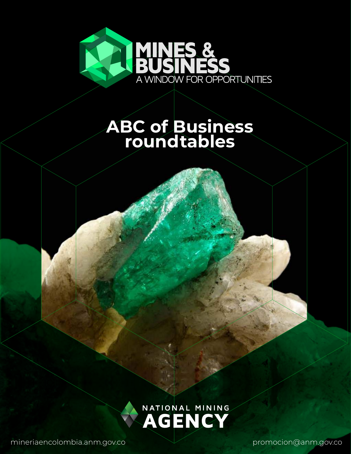

## **ABC of Business roundtables**

NATIONAL MINING

mineriaencolombia.anm.gov.co promocion@anm.gov.co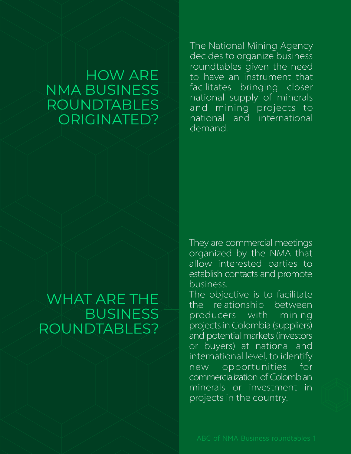### HOW ARE NMA BUSINESS ROUNDTABLES ORIGINATED?

The National Mining Agency decides to organize business roundtables given the need to have an instrument that facilitates bringing closer national supply of minerals and mining projects to national and international demand

### WHAT ARE THE BUSINESS ROUNDTABLES?

They are commercial meetings organized by the NMA that allow interested parties to establish contacts and promote business.

The objective is to facilitate the relationship between producers with mining projects in Colombia (suppliers) and potential markets (investors or buyers) at national and international level, to identify new opportunities for commercialization of Colombiar minerals or investment in projects in the country.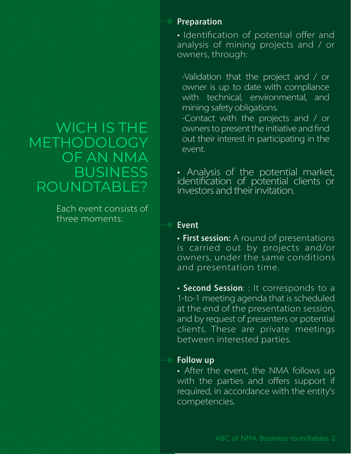## WICH IS THE METHODOLOGY OF AN NMA **BUSINESS** ROUNDTABLE?

Each event consists of three moments:

#### Preparation

· Identification of potential offer and analysis of mining projects and / or owners, through:

-Validation that the project and / or owner is up to date with compliance with technical, environmental, and mining safety obligations.

-Contact with the projects and / or owners to present the initiative and find out their interest in participating in the event.

• Analysis of the potential market,<br>identification of potential clients or investors and their invitation.

#### **Event**

• First session: A round of presentations is carried out by projects and/or owners, under the same conditions and presentation time.

• Second Session: : It corresponds to a 1-to-1 meeting agenda that is scheduled at the end of the presentation session, and by request of presenters or potential clients. These are private meetings between interested parties.

#### **Follow up**

• After the event, the NMA follows up with the parties and offers support if required, in accordance with the entity's competencies.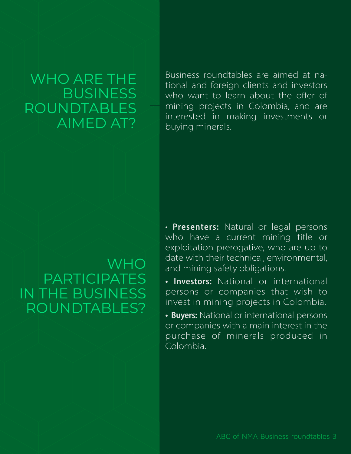### WHO ARE THE BUSINESS ROUNDTABLES AIMED AT?

Business roundtables are aimed at national and foreign clients and investors who want to learn about the offer of mining projects in Colombia, and are interested in making investments or buying minerals.

#### **WHO** PARTICIPATES IN THE BUSINESS ROUNDTABLES?

• Presenters: Natural or legal persons who have a current mining title or exploitation prerogative, who are up to date with their technical, environmental, and mining safety obligations.

• Investors: National or international persons or companies that wish to invest in mining projects in Colombia.

• Buyers: National or international persons or companies with a main interest in the purchase of minerals produced ir Colombia.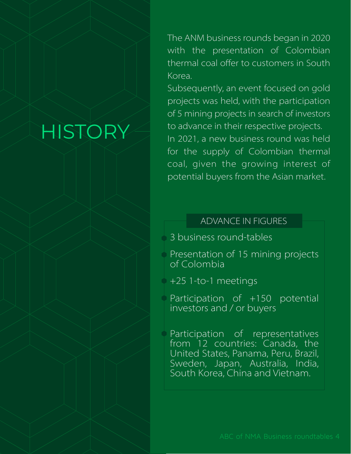## HISTORY

The ANM business rounds began in 2020 with the presentation of Colombian thermal coal offer to customers in South Korea.

Subsequently, an event focused on gold projects was held, with the participation of 5 mining projects in search of investors to advance in their respective projects. In 2021, a new business round was held for the supply of Colombian thermal coal, given the growing interest of potential buyers from the Asian market.

#### ADVANCE IN FIGURES

3 business round-tables

 $\circ$  Presentation of 15 mining projects of Colombia

 $\div$  +25 1-to-1 meetings

Participation of +150 potential investors and / or buyers

Participation of representatives from 12 countries: Canada, the United States, Panama, Peru, Brazil, Sweden, Japan, Australia, India, South Korea, China and Vietnam.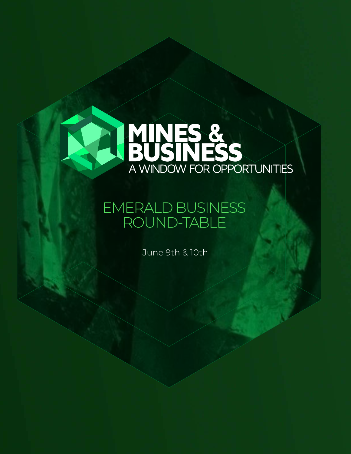

## EMERALD BUSINESS ROUND-TABLE

June 9th & 10th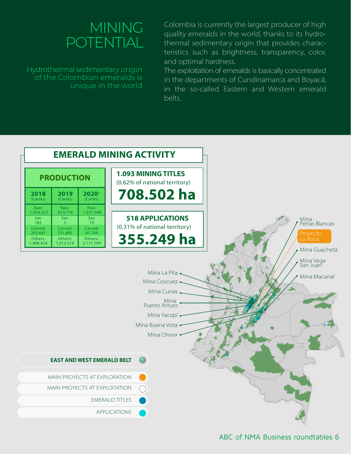## **MINING** POTENTIAL

Hydrothermal sedimentary origin of the Colombian emeralds is unique in the world

Colombia is currently the largest producer of high quality emeralds in the world, thanks to its hydrothermal sedimentary origin that provides characteristics such as brightness, transparency, color, and optimal hardness.

The exploitation of emeralds is basically concentrated in the departments of Cundinamarca and Boyacá, in the so-called Eastern and Western emerald belts.

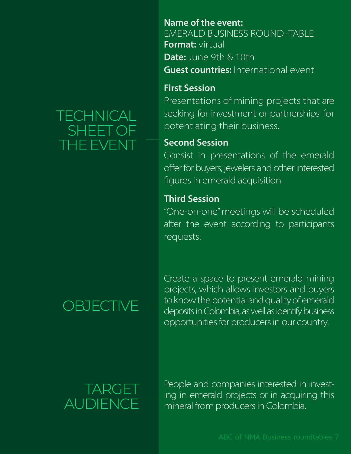## **TECHNICAL** SHEET OF THE EVENT

#### **Name of the event:** EMERALD BUSINESS ROUND -TABLE Format: virtual **Date:** June 9th  $&$  10th **Guest countries:** International event

#### **First Session**

Presentations of mining projects that are seeking for investment or partnerships for potentiating their business.

#### **Second Sessior**

Consist in presentations of the emerald offer for buyers, jewelers and other interestec figures in emerald acquisition.

#### **Third Sessior**

"One-on-one" meetings will be scheduled after the event according to participants requests.

## **OBJECTIVE**

Create a space to present emerald mining projects, which allows investors and buyers to know the potential and quality of emerald deposits in Colombia, as well as identify business opportunities for producers in our country.

## TARGET AUDIENCE

People and companies interested in investing in emerald projects or in acquiring this mineral from producers in Colombia.